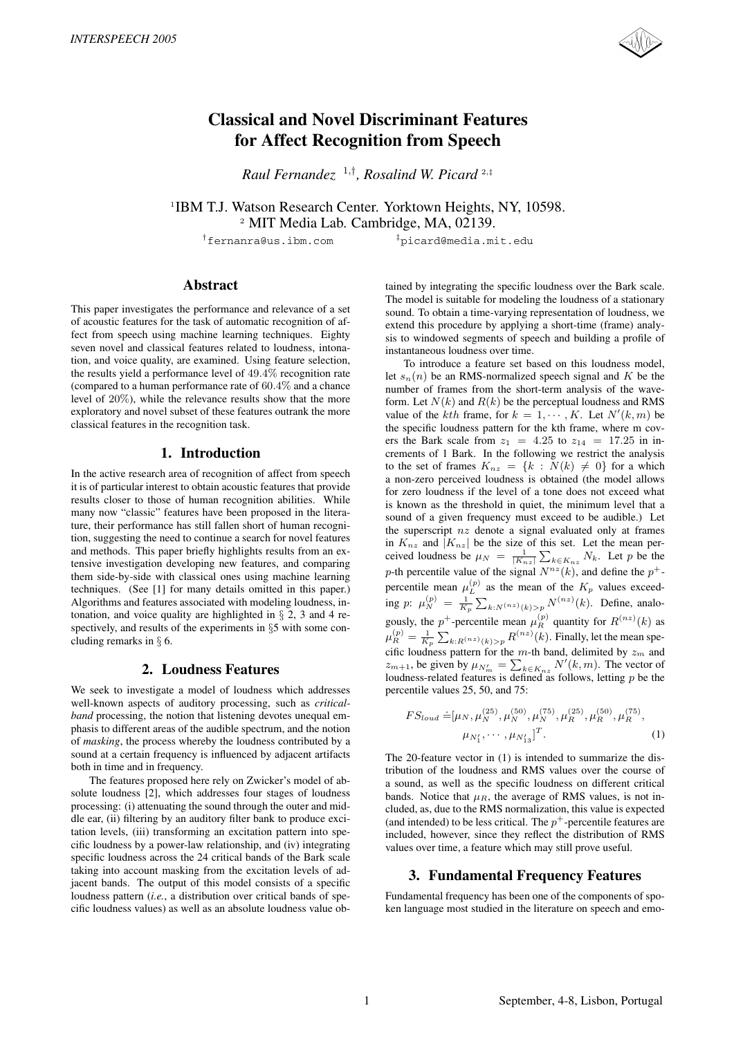

# **Classical and Novel Discriminant Features for Affect Recognition from Speech**

*Raul Fernandez* <sup>1</sup>,† *, Rosalind W. Picard* <sup>2</sup>,‡

<sup>1</sup>IBM T.J. Watson Research Center. Yorktown Heights, NY, 10598. <sup>2</sup> MIT Media Lab. Cambridge, MA, 02139.

†fernanra@us.ibm.com ‡picard@media.mit.edu

## **Abstract**

This paper investigates the performance and relevance of a set of acoustic features for the task of automatic recognition of affect from speech using machine learning techniques. Eighty seven novel and classical features related to loudness, intonation, and voice quality, are examined. Using feature selection, the results yield a performance level of <sup>49</sup>.4% recognition rate (compared to a human performance rate of <sup>60</sup>.4% and a chance level of 20%), while the relevance results show that the more exploratory and novel subset of these features outrank the more classical features in the recognition task.

# **1. Introduction**

In the active research area of recognition of affect from speech it is of particular interest to obtain acoustic features that provide results closer to those of human recognition abilities. While many now "classic" features have been proposed in the literature, their performance has still fallen short of human recognition, suggesting the need to continue a search for novel features and methods. This paper briefly highlights results from an extensive investigation developing new features, and comparing them side-by-side with classical ones using machine learning techniques. (See [1] for many details omitted in this paper.) Algorithms and features associated with modeling loudness, intonation, and voice quality are highlighted in  $\S$  2, 3 and 4 respectively, and results of the experiments in §5 with some concluding remarks in § 6.

### **2. Loudness Features**

We seek to investigate a model of loudness which addresses well-known aspects of auditory processing, such as *criticalband* processing, the notion that listening devotes unequal emphasis to different areas of the audible spectrum, and the notion of *masking*, the process whereby the loudness contributed by a sound at a certain frequency is influenced by adjacent artifacts both in time and in frequency.

The features proposed here rely on Zwicker's model of absolute loudness [2], which addresses four stages of loudness processing: (i) attenuating the sound through the outer and middle ear, (ii) filtering by an auditory filter bank to produce excitation levels, (iii) transforming an excitation pattern into specific loudness by a power-law relationship, and (iv) integrating specific loudness across the 24 critical bands of the Bark scale taking into account masking from the excitation levels of adjacent bands. The output of this model consists of a specific loudness pattern (*i.e.*, a distribution over critical bands of specific loudness values) as well as an absolute loudness value ob-

tained by integrating the specific loudness over the Bark scale. The model is suitable for modeling the loudness of a stationary sound. To obtain a time-varying representation of loudness, we extend this procedure by applying a short-time (frame) analysis to windowed segments of speech and building a profile of instantaneous loudness over time.

To introduce a feature set based on this loudness model, let  $s_n(n)$  be an RMS-normalized speech signal and K be the number of frames from the short-term analysis of the waveform. Let  $N(k)$  and  $R(k)$  be the perceptual loudness and RMS value of the *kth* frame, for  $k = 1, \dots, K$ . Let  $N'(k, m)$  be<br>the specific loudness pattern for the kth frame, where m covthe specific loudness pattern for the kth frame, where m covers the Bark scale from  $z_1 = 4.25$  to  $z_{14} = 17.25$  in increments of 1 Bark. In the following we restrict the analysis to the set of frames  $K_{nz} = \{k : N(k) \neq 0\}$  for a which<br>a non-zero perceived loudness is obtained (the model allows a non-zero perceived loudness is obtained (the model allows for zero loudness if the level of a tone does not exceed what is known as the threshold in quiet, the minimum level that a sound of a given frequency must exceed to be audible.) Let the superscript  $nz$  denote a signal evaluated only at frames in  $K_{nz}$  and  $|K_{nz}|$  be the size of this set. Let the mean perceived loudness be  $\mu_N = \frac{1}{|K_{nz}|} \sum_{k \in K_{nz}} N_k$ . Let p be the p-th percentile value of the signal  $N^{nz}(k)$ , and define the p<sup>+</sup>-<br>percentile mean  $v^{(p)}$  as the mean of the K, values exceed percentile mean  $\mu_L^{(p)}$  as the mean of the  $K_p$  values exceed-<br> $\mu_L^{(p)}$ ing  $p: \mu_N^{(p)} = \frac{1}{K_p} \sum_{k: N^{(nz)}(k) > p} N^{(nz)}(k)$ . Define, analogously, the p<sup>+</sup>-percentile mean  $\mu_R^{(p)}$  quantity for  $R^{(nz)}(k)$  as  $\mu_R^{(p)} = \frac{1}{K_p} \sum_{k: R^{(nz)}(k) > p} R^{(nz)}(k)$ . Finally, let the mean specific loudness pattern for the m-th band, delimited by  $z_m$  and  $z_m$  be given by  $y_{\text{av}} = \sum_{n=1}^{N'} y_m^2$ . The vector of  $z_{m+1}$ , be given by  $\mu_{N'_m} = \sum_{k \in K_{nz}} N'(k,m)$ . The vector of loudness-related features is defined as follows letting *n* be the loudness-related features is defined as follows, letting  $p$  be the percentile values 25, 50, and 75:

$$
FS_{loud} \doteq [\mu_N, \mu_N^{(25)}, \mu_N^{(50)}, \mu_N^{(75)}, \mu_R^{(25)}, \mu_R^{(50)}, \mu_R^{(75)},
$$
  

$$
\mu_{N'_1}, \cdots, \mu_{N'_{13}}]^T.
$$
 (1)

The 20-feature vector in (1) is intended to summarize the distribution of the loudness and RMS values over the course of a sound, as well as the specific loudness on different critical bands. Notice that  $\mu_R$ , the average of RMS values, is not included, as, due to the RMS normalization, this value is expected (and intended) to be less critical. The  $p^+$ -percentile features are included, however, since they reflect the distribution of RMS values over time, a feature which may still prove useful.

### **3. Fundamental Frequency Features**

Fundamental frequency has been one of the components of spoken language most studied in the literature on speech and emo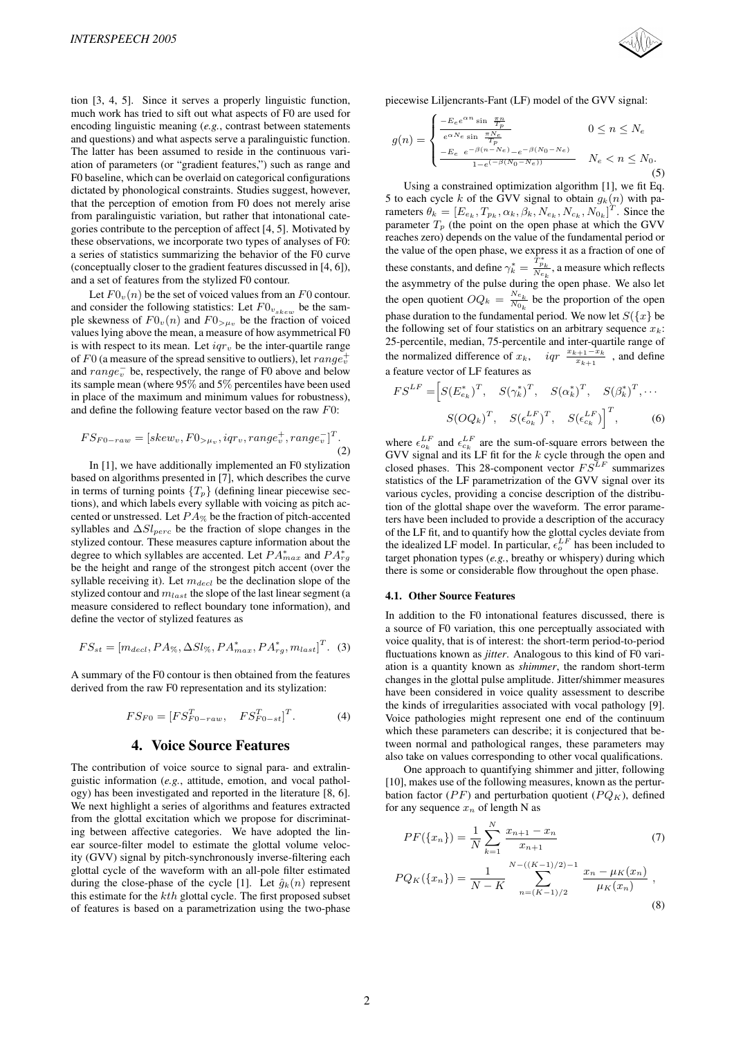tion [3, 4, 5]. Since it serves a properly linguistic function, much work has tried to sift out what aspects of F0 are used for encoding linguistic meaning (*e.g.*, contrast between statements and questions) and what aspects serve a paralinguistic function. The latter has been assumed to reside in the continuous variation of parameters (or "gradient features,") such as range and F0 baseline, which can be overlaid on categorical configurations dictated by phonological constraints. Studies suggest, however, that the perception of emotion from F0 does not merely arise from paralinguistic variation, but rather that intonational categories contribute to the perception of affect [4, 5]. Motivated by these observations, we incorporate two types of analyses of F0: a series of statistics summarizing the behavior of the F0 curve (conceptually closer to the gradient features discussed in [4, 6]), and a set of features from the stylized F0 contour.

Let  $F0_v(n)$  be the set of voiced values from an F0 contour. and consider the following statistics: Let  $F0_{v_{skew}}$  be the sample skewness of  $F0_v(n)$  and  $F0_{>\mu_v}$  be the fraction of voiced values lying above the mean, a measure of how asymmetrical F0 is with respect to its mean. Let  $iqr_v$  be the inter-quartile range of F0 (a measure of the spread sensitive to outliers), let  $range_v^+$ <br>and  $range_v^-$  be, respectively, the range of F0 above and below and  $range_v^-$  be, respectively, the range of F0 above and below<br>its sample mean (where 95% and 5% percentiles have been used its sample mean (where 95% and 5% percentiles have been used in place of the maximum and minimum values for robustness), and define the following feature vector based on the raw F0:

$$
FS_{F0-raw} = [skew_v, F0_{\gt \mu_v}, iqr_v, range_v^+, range_v^-]^T. \tag{2}
$$

In [1], we have additionally implemented an F0 stylization based on algorithms presented in [7], which describes the curve in terms of turning points  $\{T_p\}$  (defining linear piecewise sections), and which labels every syllable with voicing as pitch accented or unstressed. Let  $PA_{\%}$  be the fraction of pitch-accented syllables and  $\Delta Sl_{perc}$  be the fraction of slope changes in the stylized contour. These measures capture information about the degree to which syllables are accented. Let  $PA_{max}^*$  and  $PA_{rg}^*$ <br>be the height and range of the strongest pitch accent (over the be the height and range of the strongest pitch accent (over the syllable receiving it). Let  $m_{decl}$  be the declination slope of the stylized contour and  $m_{last}$  the slope of the last linear segment (a measure considered to reflect boundary tone information), and define the vector of stylized features as

$$
FS_{st} = [m_{decl}, PA_{\%}, \Delta Sl_{\%}, PA_{max}^*, PA_{rg}^*, m_{last}]^T. (3)
$$

A summary of the F0 contour is then obtained from the features derived from the raw F0 representation and its stylization:

$$
FS_{F0} = [FS_{F0-raw}^T, FS_{F0-st}^T]^T.
$$
 (4)

### **4. Voice Source Features**

The contribution of voice source to signal para- and extralinguistic information (*e.g.*, attitude, emotion, and vocal pathology) has been investigated and reported in the literature [8, 6]. We next highlight a series of algorithms and features extracted from the glottal excitation which we propose for discriminating between affective categories. We have adopted the linear source-filter model to estimate the glottal volume velocity (GVV) signal by pitch-synchronously inverse-filtering each glottal cycle of the waveform with an all-pole filter estimated during the close-phase of the cycle [1]. Let  $\hat{q}_k(n)$  represent this estimate for the  $kth$  glottal cycle. The first proposed subset of features is based on a parametrization using the two-phase



piecewise Liljencrants-Fant (LF) model of the GVV signal:

$$
g(n) = \begin{cases} \frac{-E_e e^{\alpha n} \sin \frac{\pi n}{T_p}}{e^{\alpha N_e} \sin \frac{\pi N_e}{T_p}} & 0 \le n \le N_e\\ \frac{-E_e e^{-\beta(n-N_e)} - e^{-\beta(N_0 - N_e)}}{1 - e^{(-\beta(N_0 - N_e))}} & N_e < n \le N_0. \end{cases}
$$
(5)

Using a constrained optimization algorithm [1], we fit Eq. 5 to each cycle k of the GVV signal to obtain  $g_k(n)$  with parameters  $\theta_k = [E_{e_k}, T_{p_k}, \alpha_k, \beta_k, N_{e_k}, N_{e_k}, N_{o_k}]^T$ . Since the parameter T (the point on the open phase at which the GVV parameter  $T_p$  (the point on the open phase at which the GVV reaches zero) depends on the value of the fundamental period or the value of the open phase, we express it as a fraction of one of these constants, and define  $\gamma_k^* = \frac{T_{p_k}^*}{N_{e_k}}$ , a measure which reflects the asymmetry of the pulse during the open phase. We also let the open quotient  $OQ_k = \frac{N e_k}{N_{0_k}}$  be the proportion of the open phase duration to the fundamental period. We now let  $S({x}$  be the following set of four statistics on an arbitrary sequence  $x_k$ : 25-percentile, median, 75-percentile and inter-quartile range of the normalized difference of  $x_k$ ,  $iqr \frac{x_{k+1} - x_k}{x_{k+1}}$ , and define a feature vector of LF features as

$$
FS^{LF} = \left[S(E_{e_k}^*)^T, S(\gamma_k^*)^T, S(\alpha_k^*)^T, S(\beta_k^*)^T, \cdots \right]
$$

$$
S(OQ_k)^T, S(\epsilon_{o_k}^{LF})^T, S(\epsilon_{o_k}^{LF})^T, \qquad (6)
$$

where  $\epsilon_{\alpha_k}^{LF}$  and  $\epsilon_{\alpha_k}^{LF}$  are the sum-of-square errors between the GVV signal and its I E fit for the k cycle through the open and GVV signal and its LF fit for the k cycle through the open and closed phases. This 28-component vector  $F S^{LF}$  summarizes closed phases. This 28-component vector  $F S^{\overline{L}F}$  summarizes<br>statistics of the LE parametrization of the GVV signal over its statistics of the LF parametrization of the GVV signal over its various cycles, providing a concise description of the distribution of the glottal shape over the waveform. The error parameters have been included to provide a description of the accuracy of the LF fit, and to quantify how the glottal cycles deviate from the idealized LF model. In particular,  $\epsilon_{\alpha}^{LF}$  has been included to target phonotion types (e g, breathy or whispery) during which target phonation types (*e.g.*, breathy or whispery) during which there is some or considerable flow throughout the open phase.

#### **4.1. Other Source Features**

In addition to the F0 intonational features discussed, there is a source of F0 variation, this one perceptually associated with voice quality, that is of interest: the short-term period-to-period fluctuations known as *jitter*. Analogous to this kind of F0 variation is a quantity known as *shimmer*, the random short-term changes in the glottal pulse amplitude. Jitter/shimmer measures have been considered in voice quality assessment to describe the kinds of irregularities associated with vocal pathology [9]. Voice pathologies might represent one end of the continuum which these parameters can describe; it is conjectured that between normal and pathological ranges, these parameters may also take on values corresponding to other vocal qualifications.

One approach to quantifying shimmer and jitter, following [10], makes use of the following measures, known as the perturbation factor ( $PF$ ) and perturbation quotient ( $PQ_K$ ), defined for any sequence  $x_n$  of length N as

$$
PF(\{x_n\}) = \frac{1}{N} \sum_{k=1}^{N} \frac{x_{n+1} - x_n}{x_{n+1}}
$$
 (7)

$$
PQ_K(\lbrace x_n \rbrace) = \frac{1}{N-K} \sum_{n=(K-1)/2}^{N-((K-1)/2)-1} \frac{x_n - \mu_K(x_n)}{\mu_K(x_n)},
$$
\n(8)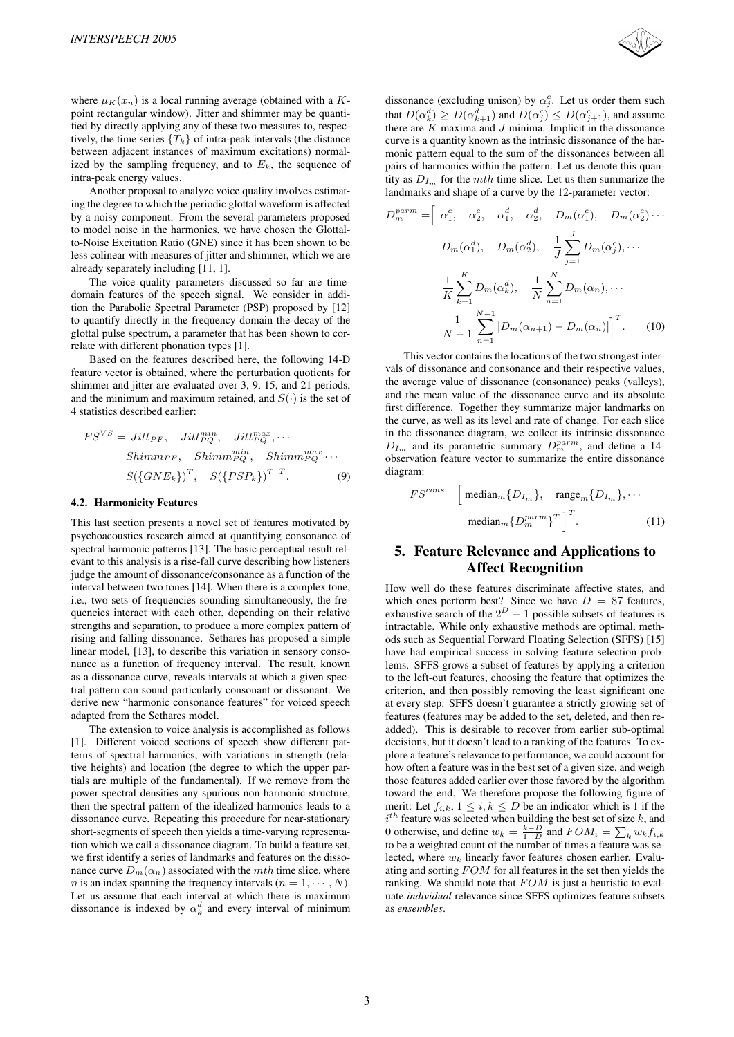where  $\mu_K(x_n)$  is a local running average (obtained with a Kpoint rectangular window). Jitter and shimmer may be quantified by directly applying any of these two measures to, respectively, the time series  $\{T_k\}$  of intra-peak intervals (the distance between adjacent instances of maximum excitations) normalized by the sampling frequency, and to  $E<sub>k</sub>$ , the sequence of intra-peak energy values.

Another proposal to analyze voice quality involves estimating the degree to which the periodic glottal waveform is affected by a noisy component. From the several parameters proposed to model noise in the harmonics, we have chosen the Glottalto-Noise Excitation Ratio (GNE) since it has been shown to be less colinear with measures of jitter and shimmer, which we are already separately including [11, 1].

The voice quality parameters discussed so far are timedomain features of the speech signal. We consider in addition the Parabolic Spectral Parameter (PSP) proposed by [12] to quantify directly in the frequency domain the decay of the glottal pulse spectrum, a parameter that has been shown to correlate with different phonation types [1].

Based on the features described here, the following 14-D feature vector is obtained, where the perturbation quotients for shimmer and jitter are evaluated over 3, 9, 15, and 21 periods, and the minimum and maximum retained, and  $S(\cdot)$  is the set of 4 statistics described earlier:

$$
FS^{VS} = Jitt_{PF}, Jitt_{PQ}^{min}, Jitt_{PQ}^{max}, \cdots
$$
  
\nShimm\_{PF}, Shimm\_{PQ}^{min}, Shimm\_{PQ}^{max} \cdots  
\n
$$
S({\lbrace GNE_k \rbrace})^T, S({\lbrace PSP_k \rbrace})^{T}^T.
$$
 (9)

#### **4.2. Harmonicity Features**

This last section presents a novel set of features motivated by psychoacoustics research aimed at quantifying consonance of spectral harmonic patterns [13]. The basic perceptual result relevant to this analysis is a rise-fall curve describing how listeners judge the amount of dissonance/consonance as a function of the interval between two tones [14]. When there is a complex tone, i.e., two sets of frequencies sounding simultaneously, the frequencies interact with each other, depending on their relative strengths and separation, to produce a more complex pattern of rising and falling dissonance. Sethares has proposed a simple linear model, [13], to describe this variation in sensory consonance as a function of frequency interval. The result, known as a dissonance curve, reveals intervals at which a given spectral pattern can sound particularly consonant or dissonant. We derive new "harmonic consonance features" for voiced speech adapted from the Sethares model.

The extension to voice analysis is accomplished as follows [1]. Different voiced sections of speech show different patterns of spectral harmonics, with variations in strength (relative heights) and location (the degree to which the upper partials are multiple of the fundamental). If we remove from the power spectral densities any spurious non-harmonic structure, then the spectral pattern of the idealized harmonics leads to a dissonance curve. Repeating this procedure for near-stationary short-segments of speech then yields a time-varying representation which we call a dissonance diagram. To build a feature set, we first identify a series of landmarks and features on the dissonance curve  $D_m(\alpha_n)$  associated with the mth time slice, where n is an index spanning the frequency intervals  $(n = 1, \dots, N)$ . Let us assume that each interval at which there is maximum dissonance is indexed by  $\alpha_k^d$  and every interval of minimum



dissonance (excluding unison) by  $\alpha_j^c$ . Let us order them such that  $D(\alpha_j^d) > D(\alpha_j^d)$  and  $D(\alpha_j^c) < D(\alpha_j^c)$  and assume that  $D(\alpha_k^d) \geq D(\alpha_{k+1}^d)$  and  $D(\alpha_j^c) \leq D(\alpha_{j+1}^c)$ , and assume<br>there are K maxima and *I* minima Implicit in the dissonance there are  $K$  maxima and  $J$  minima. Implicit in the dissonance curve is a quantity known as the intrinsic dissonance of the harmonic pattern equal to the sum of the dissonances between all pairs of harmonics within the pattern. Let us denote this quantity as  $D_{Im}$  for the mth time slice. Let us then summarize the landmarks and shape of a curve by the 12-parameter vector:

$$
D_m^{param} = \left[ \begin{array}{cccc} \alpha_1^c, & \alpha_2^c, & \alpha_1^d, & \alpha_2^d, & D_m(\alpha_1^c), & D_m(\alpha_2^c) \cdots \end{array} \right]
$$
  

$$
D_m(\alpha_1^d), \quad D_m(\alpha_2^d), \quad \frac{1}{J} \sum_{j=1}^J D_m(\alpha_j^c), \cdots
$$
  

$$
\frac{1}{K} \sum_{k=1}^K D_m(\alpha_k^d), \quad \frac{1}{N} \sum_{n=1}^N D_m(\alpha_n), \cdots
$$
  

$$
\frac{1}{N-1} \sum_{n=1}^{N-1} |D_m(\alpha_{n+1}) - D_m(\alpha_n)| \right]^T.
$$
 (10)

This vector contains the locations of the two strongest intervals of dissonance and consonance and their respective values, the average value of dissonance (consonance) peaks (valleys), and the mean value of the dissonance curve and its absolute first difference. Together they summarize major landmarks on the curve, as well as its level and rate of change. For each slice in the dissonance diagram, we collect its intrinsic dissonance  $D_{Im}$  and its parametric summary  $D_m^{param}$ , and define a 14-<br>observation feature vector to summarize the entire dissonance observation feature vector to summarize the entire dissonance diagram:

$$
FS^{cons} = \left[\text{median}_{m}\{D_{I_{m}}\}, \text{range}_{m}\{D_{I_{m}}\}, \cdots\right]
$$

$$
\text{median}_{m}\{D_{m}^{perm}\}^{T}\right]^{T}.
$$
 (11)

# **5. Feature Relevance and Applications to Affect Recognition**

How well do these features discriminate affective states, and which ones perform best? Since we have  $D = 87$  features, exhaustive search of the  $2^D - 1$  possible subsets of features is intractable. While only exhaustive methods are optimal, methods such as Sequential Forward Floating Selection (SFFS) [15] have had empirical success in solving feature selection problems. SFFS grows a subset of features by applying a criterion to the left-out features, choosing the feature that optimizes the criterion, and then possibly removing the least significant one at every step. SFFS doesn't guarantee a strictly growing set of features (features may be added to the set, deleted, and then readded). This is desirable to recover from earlier sub-optimal decisions, but it doesn't lead to a ranking of the features. To explore a feature's relevance to performance, we could account for how often a feature was in the best set of a given size, and weigh those features added earlier over those favored by the algorithm toward the end. We therefore propose the following figure of merit: Let  $f_{i,k}$ ,  $1 \leq i, k \leq D$  be an indicator which is 1 if the 0 otherwise, and define  $w_k = \frac{k-D}{1-D}$  and  $FOM_i = \sum_k w_k f_{i,k}$ <br>to be a weighted count of the number of times a feature was se $i^{th}$  feature was selected when building the best set of size  $k$ , and to be a weighted count of the number of times a feature was selected, where  $w_k$  linearly favor features chosen earlier. Evaluating and sorting FOM for all features in the set then yields the ranking. We should note that FOM is just a heuristic to evaluate *individual* relevance since SFFS optimizes feature subsets as *ensembles*.